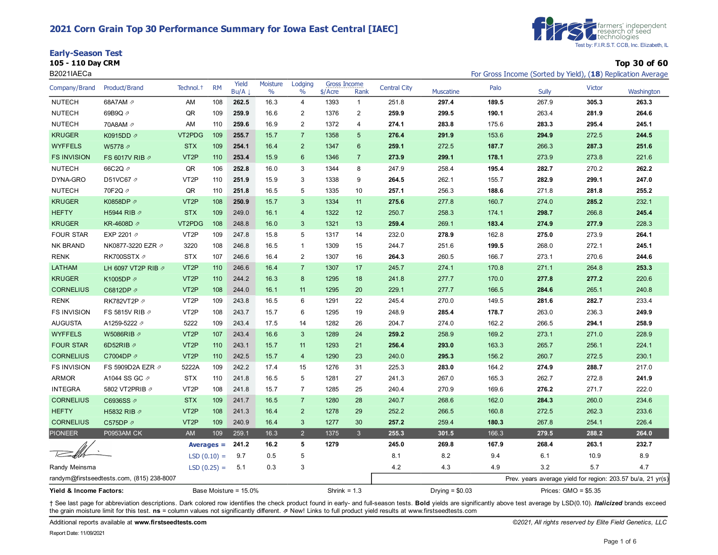#### **2021 Corn Grain Top 30 Performance Summary for Iowa East Central [IAEC]**



**105 - 110 Day CRM Top 30 of 60**



B2021IAECa For Gross Income (Sorted by Yield), (18) Replication Average **For Gross Income (Sorted by Yield)**, (18) Replication Average

| Company/Brand           | <b>Product/Brand</b>                      | Technol. <sup>+</sup> | <b>RM</b>     | Yield<br>Bu/A         | Moisture<br>$\%$ | Lodging<br>$\frac{0}{0}$ | <b>Gross Income</b><br>$$/$ Acre | Rank            | <b>Central City</b> | <b>Muscatine</b> | Palo  | Sully                                                       | Victor               | Washington |
|-------------------------|-------------------------------------------|-----------------------|---------------|-----------------------|------------------|--------------------------|----------------------------------|-----------------|---------------------|------------------|-------|-------------------------------------------------------------|----------------------|------------|
| <b>NUTECH</b>           | 68A7AM 2                                  | AM                    | 108           | 262.5                 | 16.3             | $\overline{4}$           | 1393                             | $\mathbf{1}$    | 251.8               | 297.4            | 189.5 | 267.9                                                       | 305.3                | 263.3      |
| <b>NUTECH</b>           | 69B9Q 2                                   | QR                    | 109           | 259.9                 | 16.6             | $\overline{2}$           | 1376                             | $\overline{2}$  | 259.9               | 299.5            | 190.1 | 263.4                                                       | 281.9                | 264.6      |
| <b>NUTECH</b>           | 70A8AM 2                                  | AM                    | 110           | 259.6                 | 16.9             | $\overline{2}$           | 1372                             | $\overline{4}$  | 274.1               | 283.8            | 175.6 | 283.3                                                       | 295.4                | 245.1      |
| <b>KRUGER</b>           | K0915DD ⊉                                 | VT2PDG                | 109           | 255.7                 | 15.7             | $\overline{7}$           | 1358                             | $5\phantom{.0}$ | 276.4               | 291.9            | 153.6 | 294.9                                                       | 272.5                | 244.5      |
| <b>WYFFELS</b>          | W5778 2                                   | <b>STX</b>            | 109           | 254.1                 | 16.4             | $\overline{2}$           | 1347                             | $6\phantom{1}$  | 259.1               | 272.5            | 187.7 | 266.3                                                       | 287.3                | 251.6      |
| <b>FS INVISION</b>      | FS 6017V RIB 2                            | VT <sub>2</sub> P     | 110           | 253.4                 | 15.9             | $6\phantom{1}6$          | 1346                             | $\overline{7}$  | 273.9               | 299.1            | 178.1 | 273.9                                                       | 273.8                | 221.6      |
| <b>NUTECH</b>           | 66C2Q 2                                   | QR                    | 106           | 252.8                 | 16.0             | 3                        | 1344                             | 8               | 247.9               | 258.4            | 195.4 | 282.7                                                       | 270.2                | 262.2      |
| DYNA-GRO                | D51VC67 2                                 | VT <sub>2</sub> P     | 110           | 251.9                 | 15.9             | 3                        | 1338                             | 9               | 264.5               | 262.1            | 155.7 | 282.9                                                       | 299.1                | 247.0      |
| <b>NUTECH</b>           | 70F2Q 2                                   | QR                    | 110           | 251.8                 | 16.5             | 5                        | 1335                             | 10              | 257.1               | 256.3            | 188.6 | 271.8                                                       | 281.8                | 255.2      |
| <b>KRUGER</b>           | K0858DP 2                                 | VT <sub>2</sub> P     | 108           | 250.9                 | 15.7             | $\mathbf{3}$             | 1334                             | 11              | 275.6               | 277.8            | 160.7 | 274.0                                                       | 285.2                | 232.1      |
| <b>HEFTY</b>            | H5944 RIB 7                               | <b>STX</b>            | 109           | 249.0                 | 16.1             | $\overline{4}$           | 1322                             | 12              | 250.7               | 258.3            | 174.1 | 298.7                                                       | 266.8                | 245.4      |
| <b>KRUGER</b>           | KR-4608D Ø                                | VT2PDG                | 108           | 248.8                 | 16.0             | 3                        | 1321                             | 13              | 259.4               | 269.1            | 183.4 | 274.9                                                       | 277.9                | 228.3      |
| <b>FOUR STAR</b>        | EXP 2201 2                                | VT <sub>2</sub> P     | 109           | 247.8                 | 15.8             | 5                        | 1317                             | 14              | 232.0               | 278.9            | 162.8 | 275.0                                                       | 273.9                | 264.1      |
| <b>NK BRAND</b>         | NK0877-3220 EZR Ø                         | 3220                  | 108           | 246.8                 | 16.5             | $\mathbf{1}$             | 1309                             | 15              | 244.7               | 251.6            | 199.5 | 268.0                                                       | 272.1                | 245.1      |
| <b>RENK</b>             | RK700SSTX ⊉                               | <b>STX</b>            | 107           | 246.6                 | 16.4             | $\overline{2}$           | 1307                             | 16              | 264.3               | 260.5            | 166.7 | 273.1                                                       | 270.6                | 244.6      |
| LATHAM                  | LH 6097 VT2P RIB 2                        | VT <sub>2</sub> P     | 110           | 246.6                 | 16.4             | $\overline{7}$           | 1307                             | 17              | 245.7               | 274.1            | 170.8 | 271.1                                                       | 264.8                | 253.3      |
| <b>KRUGER</b>           | K1005DP 2                                 | VT <sub>2</sub> P     | 110           | 244.2                 | 16.3             | $\boldsymbol{8}$         | 1295                             | 18              | 241.8               | 277.7            | 170.0 | 277.8                                                       | 277.2                | 220.6      |
| <b>CORNELIUS</b>        | C6812DP の                                 | VT <sub>2</sub> P     | 108           | 244.0                 | 16.1             | 11                       | 1295                             | 20              | 229.1               | 277.7            | 166.5 | 284.6                                                       | 265.1                | 240.8      |
| <b>RENK</b>             | RK782VT2P 2                               | VT <sub>2</sub> P     | 109           | 243.8                 | 16.5             | $\,6\,$                  | 1291                             | 22              | 245.4               | 270.0            | 149.5 | 281.6                                                       | 282.7                | 233.4      |
| <b>FS INVISION</b>      | FS 5815V RIB 2                            | VT <sub>2</sub> P     | 108           | 243.7                 | 15.7             | 6                        | 1295                             | 19              | 248.9               | 285.4            | 178.7 | 263.0                                                       | 236.3                | 249.9      |
| <b>AUGUSTA</b>          | A1259-5222 2                              | 5222                  | 109           | 243.4                 | 17.5             | 14                       | 1282                             | 26              | 204.7               | 274.0            | 162.2 | 266.5                                                       | 294.1                | 258.9      |
| <b>WYFFELS</b>          | W5086RIB Ø                                | VT <sub>2</sub> P     | 107           | 243.4                 | 16.6             | $\mathbf{3}$             | 1289                             | 24              | 259.2               | 258.9            | 169.2 | 273.1                                                       | 271.0                | 228.9      |
| <b>FOUR STAR</b>        | 6D52RIB 2                                 | VT <sub>2</sub> P     | 110           | 243.1                 | 15.7             | 11                       | 1293                             | 21              | 256.4               | 293.0            | 163.3 | 265.7                                                       | 256.1                | 224.1      |
| <b>CORNELIUS</b>        | C7004DP ⊉                                 | VT <sub>2</sub> P     | 110           | 242.5                 | 15.7             | $\overline{4}$           | 1290                             | 23              | 240.0               | 295.3            | 156.2 | 260.7                                                       | 272.5                | 230.1      |
| <b>FS INVISION</b>      | FS 5909D2A EZR 2                          | 5222A                 | 109           | 242.2                 | 17.4             | 15                       | 1276                             | 31              | 225.3               | 283.0            | 164.2 | 274.9                                                       | 288.7                | 217.0      |
| <b>ARMOR</b>            | A1044 SS GC $\varnothing$                 | <b>STX</b>            | 110           | 241.8                 | 16.5             | 5                        | 1281                             | 27              | 241.3               | 267.0            | 165.3 | 262.7                                                       | 272.8                | 241.9      |
| <b>INTEGRA</b>          | 5802 VT2PRIB 2                            | VT <sub>2</sub> P     | 108           | 241.8                 | 15.7             | $\overline{7}$           | 1285                             | 25              | 240.4               | 270.9            | 169.6 | 276.2                                                       | 271.7                | 222.0      |
| <b>CORNELIUS</b>        | C6936SS 2                                 | <b>STX</b>            | 109           | 241.7                 | 16.5             | $\overline{7}$           | 1280                             | 28              | 240.7               | 268.6            | 162.0 | 284.3                                                       | 260.0                | 234.6      |
| <b>HEFTY</b>            | H5832 RIB 2                               | VT <sub>2</sub> P     | 108           | 241.3                 | 16.4             | $\overline{2}$           | 1278                             | 29              | 252.2               | 266.5            | 160.8 | 272.5                                                       | 262.3                | 233.6      |
| <b>CORNELIUS</b>        | C575DP の                                  | VT <sub>2</sub> P     | 109           | 240.9                 | 16.4             | $\mathbf{3}$             | 1277                             | 30              | 257.2               | 259.4            | 180.3 | 267.8                                                       | 254.1                | 226.4      |
| <b>PIONEER</b>          | <b>P0953AM CK</b>                         | AM                    | 109           | 259.1                 | 16.3             | $\overline{2}$           | 1375                             | $\mathbf{3}$    | 255.3               | 301.5            | 166.3 | 279.5                                                       | 288.2                | 264.0      |
|                         |                                           |                       | Averages $=$  | 241.2                 | 16.2             | 5                        | 1279                             |                 | 245.0               | 269.8            | 167.9 | 268.4                                                       | 263.1                | 232.7      |
|                         |                                           |                       | $LSD(0.10) =$ | 9.7                   | 0.5              | 5                        |                                  |                 | 8.1                 | 8.2              | 9.4   | 6.1                                                         | 10.9                 | 8.9        |
| Randy Meinsma           |                                           |                       | $LSD(0.25) =$ | 5.1                   | 0.3              | 3                        |                                  |                 | 4.2                 | 4.3              | 4.9   | 3.2                                                         | 5.7                  | 4.7        |
|                         | randym@firstseedtests.com, (815) 238-8007 |                       |               |                       |                  |                          |                                  |                 |                     |                  |       | Prev. years average yield for region: 203.57 bu/a, 21 yr(s) |                      |            |
| Yield & Income Factors: |                                           |                       |               | Base Moisture = 15.0% |                  |                          | Shrink = $1.3$                   |                 |                     | Drying = $$0.03$ |       |                                                             | Prices: GMO = \$5.35 |            |

+ See last page for abbreviation descriptions. Dark colored row identifies the check product found in early- and full-season tests. Bold yields are significantly above test average by LSD(0.10). Italicized brands exceed the grain moisture limit for this test. **ns** = column values not significantly different. ⇗ New! Links to full product yield results at www.firstseedtests.com

Additional reports available at **[www.firstseedtests.com](https://www.firstseedtests.com)** *©2021, All rights reserved by Elite Field Genetics, LLC*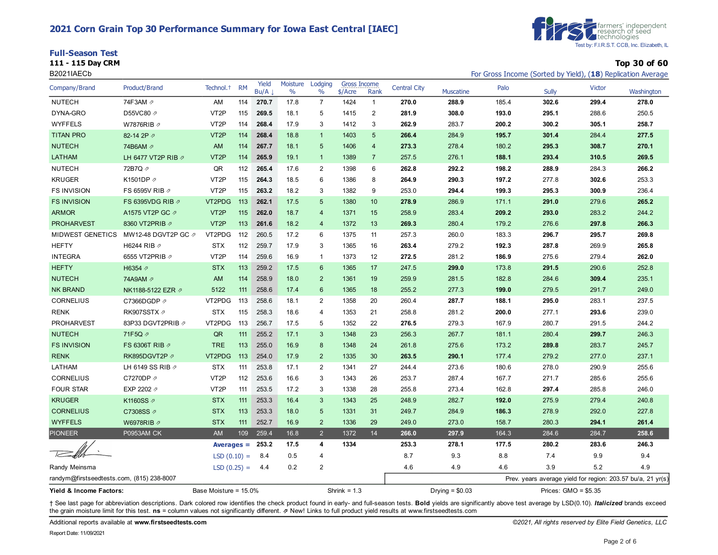## **2021 Corn Grain Top 30 Performance Summary for Iowa East Central [IAEC]**

| <b>Full-Season Test</b> |              |
|-------------------------|--------------|
| 111 - 115 Day CRM       | Top 30 of 60 |



| B2021IAECb                                |                            |                       |           |               |                  |                  |                                |                |                     |                  |       |                      |               | For Gross Income (Sorted by Yield), (18) Replication Average |
|-------------------------------------------|----------------------------|-----------------------|-----------|---------------|------------------|------------------|--------------------------------|----------------|---------------------|------------------|-------|----------------------|---------------|--------------------------------------------------------------|
| Company/Brand                             | Product/Brand              | Technol. <sup>+</sup> | <b>RM</b> | Yield<br>Bu/A | Moisture<br>$\%$ | Lodging<br>$\%$  | <b>Gross Income</b><br>\$/Acre | Rank           | <b>Central City</b> | <b>Muscatine</b> | Palo  | <b>Sully</b>         | <b>Victor</b> | Washington                                                   |
| <b>NUTECH</b>                             | 74F3AM 2                   | AM                    | 114       | 270.7         | 17.8             | $\overline{7}$   | 1424                           | $\overline{1}$ | 270.0               | 288.9            | 185.4 | 302.6                | 299.4         | 278.0                                                        |
| DYNA-GRO                                  | D55VC80 2                  | VT <sub>2</sub> P     | 115       | 269.5         | 18.1             | 5                | 1415                           | 2              | 281.9               | 308.0            | 193.0 | 295.1                | 288.6         | 250.5                                                        |
| <b>WYFFELS</b>                            | W7876RIB 2                 | VT <sub>2</sub> P     | 114       | 268.4         | 17.9             | 3                | 1412                           | 3              | 262.9               | 283.7            | 200.2 | 300.2                | 305.1         | 258.7                                                        |
| <b>TITAN PRO</b>                          | 82-14 2P 2                 | VT <sub>2</sub> P     | 114       | 268.4         | 18.8             | $\mathbf{1}$     | 1403                           | 5              | 266.4               | 284.9            | 195.7 | 301.4                | 284.4         | 277.5                                                        |
| <b>NUTECH</b>                             | 74B6AM 2                   | AM                    | 114       | 267.7         | 18.1             | $5\phantom{.0}$  | 1406                           | 4              | 273.3               | 278.4            | 180.2 | 295.3                | 308.7         | 270.1                                                        |
| LATHAM                                    | LH 6477 VT2P RIB 2         | VT <sub>2</sub> P     | 114       | 265.9         | 19.1             | $\mathbf{1}$     | 1389                           | $\overline{7}$ | 257.5               | 276.1            | 188.1 | 293.4                | 310.5         | 269.5                                                        |
| <b>NUTECH</b>                             | 72B7Q 2                    | QR                    | 112       | 265.4         | 17.6             | $\overline{2}$   | 1398                           | 6              | 262.8               | 292.2            | 198.2 | 288.9                | 284.3         | 266.2                                                        |
| <b>KRUGER</b>                             | K1501DP 2                  | VT <sub>2</sub> P     | 115       | 264.3         | 18.5             | 6                | 1386                           | 8              | 264.9               | 290.3            | 197.2 | 277.8                | 302.6         | 253.3                                                        |
| <b>FS INVISION</b>                        | FS 6595V RIB 2             | VT <sub>2</sub> P     | 115       | 263.2         | 18.2             | 3                | 1382                           | 9              | 253.0               | 294.4            | 199.3 | 295.3                | 300.9         | 236.4                                                        |
| <b>FS INVISION</b>                        | FS 6395VDG RIB 2           | VT2PDG                | 113       | 262.1         | 17.5             | 5                | 1380                           | 10             | 278.9               | 286.9            | 171.1 | 291.0                | 279.6         | 265.2                                                        |
| <b>ARMOR</b>                              | A1575 VT2P GC 2            | VT <sub>2</sub> P     | 115       | 262.0         | 18.7             | $\overline{4}$   | 1371                           | 15             | 258.9               | 283.4            | 209.2 | 293.0                | 283.2         | 244.2                                                        |
| <b>PROHARVEST</b>                         | 8360 VT2PRIB 2             | VT <sub>2</sub> P     | 113       | 261.6         | 18.2             | $\overline{4}$   | 1372                           | 13             | 269.3               | 280.4            | 179.2 | 276.6                | 297.8         | 266.3                                                        |
| <b>MIDWEST GENETICS</b>                   | MW12-48 DGVT2P GC ク        | VT2PDG                | 112       | 260.5         | 17.2             | 6                | 1375                           | 11             | 257.3               | 260.0            | 183.3 | 296.7                | 295.7         | 269.8                                                        |
| <b>HEFTY</b>                              | H6244 RIB 2                | <b>STX</b>            | 112       | 259.7         | 17.9             | 3                | 1365                           | 16             | 263.4               | 279.2            | 192.3 | 287.8                | 269.9         | 265.8                                                        |
| <b>INTEGRA</b>                            | 6555 VT2PRIB 2             | VT <sub>2</sub> P     | 114       | 259.6         | 16.9             | $\mathbf{1}$     | 1373                           | 12             | 272.5               | 281.2            | 186.9 | 275.6                | 279.4         | 262.0                                                        |
| <b>HEFTY</b>                              | H6354 2                    | <b>STX</b>            | 113       | 259.2         | 17.5             | 6                | 1365                           | 17             | 247.5               | 299.0            | 173.8 | 291.5                | 290.6         | 252.8                                                        |
| <b>NUTECH</b>                             | 74A9AM 2                   | AM                    | 114       | 258.9         | 18.0             | $\overline{2}$   | 1361                           | 19             | 259.9               | 281.5            | 182.8 | 284.6                | 309.4         | 235.1                                                        |
| <b>NK BRAND</b>                           | NK1188-5122 EZR Ø          | 5122                  | 111       | 258.6         | 17.4             | $6\phantom{1}$   | 1365                           | 18             | 255.2               | 277.3            | 199.0 | 279.5                | 291.7         | 249.0                                                        |
| <b>CORNELIUS</b>                          | C7366DGDP 2                | VT2PDG                | 113       | 258.6         | 18.1             | $\overline{2}$   | 1358                           | 20             | 260.4               | 287.7            | 188.1 | 295.0                | 283.1         | 237.5                                                        |
| <b>RENK</b>                               | RK907SSTX 2                | <b>STX</b>            | 115       | 258.3         | 18.6             | 4                | 1353                           | 21             | 258.8               | 281.2            | 200.0 | 277.1                | 293.6         | 239.0                                                        |
| <b>PROHARVEST</b>                         | 83P33 DGVT2PRIB 2          | VT2PDG                | 113       | 256.7         | 17.5             | 5                | 1352                           | 22             | 276.5               | 279.3            | 167.9 | 280.7                | 291.5         | 244.2                                                        |
| <b>NUTECH</b>                             | 71F5Q 2                    | QR                    | 111       | 255.2         | 17.1             | 3                | 1348                           | 23             | 256.3               | 267.7            | 181.1 | 280.4                | 299.7         | 246.3                                                        |
| <b>FS INVISION</b>                        | FS 6306T RIB $\varnothing$ | <b>TRE</b>            | 113       | 255.0         | 16.9             | $\boldsymbol{8}$ | 1348                           | 24             | 261.8               | 275.6            | 173.2 | 289.8                | 283.7         | 245.7                                                        |
| <b>RENK</b>                               | RK895DGVT2P 2              | VT2PDG                | 113       | 254.0         | 17.9             | $\overline{2}$   | 1335                           | 30             | 263.5               | 290.1            | 177.4 | 279.2                | 277.0         | 237.1                                                        |
| LATHAM                                    | LH 6149 SS RIB 2           | <b>STX</b>            | 111       | 253.8         | 17.1             | $\overline{2}$   | 1341                           | 27             | 244.4               | 273.6            | 180.6 | 278.0                | 290.9         | 255.6                                                        |
| CORNELIUS                                 | C7270DP 2                  | VT <sub>2</sub> P     | 112       | 253.6         | 16.6             | 3                | 1343                           | 26             | 253.7               | 287.4            | 167.7 | 271.7                | 285.6         | 255.6                                                        |
| <b>FOUR STAR</b>                          | EXP 2202 2                 | VT <sub>2</sub> P     | 111       | 253.5         | 17.2             | 3                | 1338                           | 28             | 255.8               | 273.4            | 162.8 | 297.4                | 285.8         | 246.0                                                        |
| <b>KRUGER</b>                             | K1160SS ⊉                  | <b>STX</b>            | 111       | 253.3         | 16.4             | 3                | 1343                           | 25             | 248.9               | 282.7            | 192.0 | 275.9                | 279.4         | 240.8                                                        |
| <b>CORNELIUS</b>                          | C7308SS 2                  | <b>STX</b>            | 113       | 253.3         | 18.0             | 5                | 1331                           | 31             | 249.7               | 284.9            | 186.3 | 278.9                | 292.0         | 227.8                                                        |
| <b>WYFFELS</b>                            | W6978RIB 2                 | <b>STX</b>            | 111       | 252.7         | 16.9             | $\overline{2}$   | 1336                           | 29             | 249.0               | 273.0            | 158.7 | 280.3                | 294.1         | 261.4                                                        |
| <b>PIONEER</b>                            | <b>P0953AM CK</b>          | AM                    | 109       | 259.4         | 16.8             | $\overline{2}$   | 1372                           | 14             | 266.0               | 297.9            | 164.3 | 284.6                | 284.7         | 258.6                                                        |
|                                           |                            | $Averages =$          |           | 253.2         | 17.5             | 4                | 1334                           |                | 253.3               | 278.1            | 177.5 | 280.2                | 283.6         | 246.3                                                        |
|                                           |                            | $LSD(0.10) =$         |           | 8.4           | 0.5              | 4                |                                |                | 8.7                 | 9.3              | 8.8   | 7.4                  | 9.9           | 9.4                                                          |
| Randy Meinsma                             |                            | $LSD(0.25) =$         |           | 4.4           | 0.2              | $\overline{2}$   |                                |                | 4.6                 | 4.9              | 4.6   | 3.9                  | 5.2           | 4.9                                                          |
| randym@firstseedtests.com, (815) 238-8007 |                            |                       |           |               |                  |                  |                                |                |                     |                  |       |                      |               | Prev. years average yield for region: 203.57 bu/a, 21 yr(s)  |
| Yield & Income Factors:                   |                            | Base Moisture = 15.0% |           |               |                  |                  | Shrink = $1.3$                 |                |                     | Drying $= $0.03$ |       | Prices: GMO = \$5.35 |               |                                                              |

+ See last page for abbreviation descriptions. Dark colored row identifies the check product found in early- and full-season tests. Bold yields are significantly above test average by LSD(0.10). Italicized brands exceed the grain moisture limit for this test. **ns** = column values not significantly different. ⇗ New! Links to full product yield results at www.firstseedtests.com

Additional reports available at **[www.firstseedtests.com](https://www.firstseedtests.com)** *©2021, All rights reserved by Elite Field Genetics, LLC* 

Report Date: 11/09/2021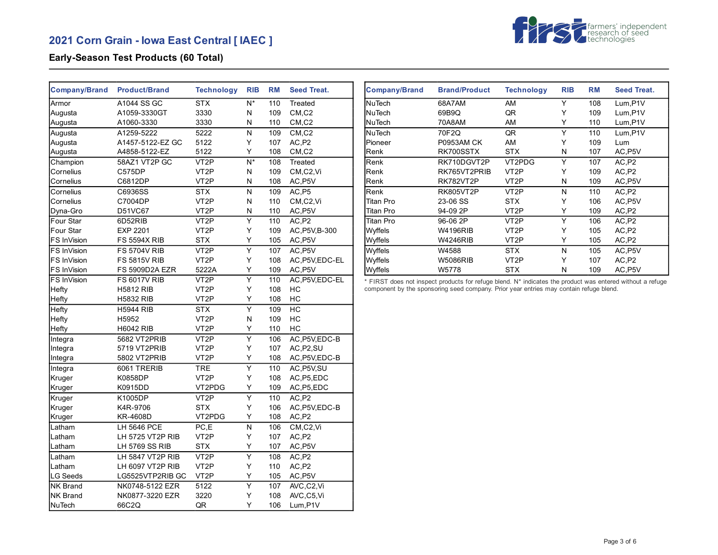

### **Early-Season Test Products (60 Total)**

| <b>Company/Brand</b> | <b>Product/Brand</b>  | <b>Technology</b> | <b>RIB</b>              | <b>RM</b> | <b>Seed Treat.</b>                 |
|----------------------|-----------------------|-------------------|-------------------------|-----------|------------------------------------|
| Armor                | A1044 SS GC           | <b>STX</b>        | $N^*$                   | 110       | Treated                            |
| Augusta              | A1059-3330GT          | 3330              | N                       | 109       | CM, C2                             |
| Augusta              | A1060-3330            | 3330              | Ν                       | 110       | CM, C2                             |
| Augusta              | A1259-5222            | 5222              | $\overline{N}$          | 109       | CM, C2                             |
| Augusta              | A1457-5122-EZ GC      | 5122              | Y                       | 107       | AC,P2                              |
| Augusta              | A4858-5122-EZ         | 5122              | Y                       | 108       | CM, C2                             |
| Champion             | 58AZ1 VT2P GC         | VT <sub>2</sub> P | $\overline{N^*}$        | 108       | Treated                            |
| Cornelius            | C575DP                | VT <sub>2</sub> P | N                       | 109       | CM <sub>.</sub> C <sub>2</sub> ,Vi |
| Cornelius            | C6812DP               | VT <sub>2</sub> P | Ν                       | 108       | AC, P5V                            |
| Cornelius            | C6936SS               | <b>STX</b>        | N                       | 109       | AC,P5                              |
| Cornelius            | C7004DP               | VT <sub>2</sub> P | Ν                       | 110       | CM,C2,Vi                           |
| Dyna-Gro             | D51VC67               | VT <sub>2</sub> P | Ν                       | 110       | AC, P5V                            |
| Four Star            | 6D52RIB               | VT <sub>2</sub> P | $\overline{Y}$          | 110       | AC,P2                              |
| Four Star            | <b>EXP 2201</b>       | VT <sub>2</sub> P | Y                       | 109       | AC, P5V, B-300                     |
| FS InVision          | <b>FS 5594X RIB</b>   | <b>STX</b>        | Υ                       | 105       | AC, P5V                            |
| FS InVision          | <b>FS 5704V RIB</b>   | VT <sub>2</sub> P | Y                       | 107       | AC, P5V                            |
| FS InVision          | <b>FS 5815V RIB</b>   | VT2P              | Υ                       | 108       | AC, P5V, EDC-EL                    |
| FS InVision          | <b>FS 5909D2A EZR</b> | 5222A             | Υ                       | 109       | AC, P5V                            |
| FS InVision          | <b>FS 6017V RIB</b>   | VT <sub>2</sub> P | Y                       | 110       | AC, P5V, EDC-EL                    |
| Hefty                | <b>H5812 RIB</b>      | VT <sub>2</sub> P | Y                       | 108       | НC                                 |
| Hefty                | <b>H5832 RIB</b>      | VT <sub>2</sub> P | Υ                       | 108       | НC                                 |
| Hefty                | <b>H5944 RIB</b>      | <b>STX</b>        | Y                       | 109       | HC                                 |
| Hefty                | H5952                 | VT <sub>2</sub> P | N                       | 109       | HC                                 |
| Hefty                | <b>H6042 RIB</b>      | VT <sub>2</sub> P | Y                       | 110       | НC                                 |
| Integra              | 5682 VT2PRIB          | VT <sub>2</sub> P | $\overline{Y}$          | 106       | AC, P5V, EDC-B                     |
| Integra              | 5719 VT2PRIB          | VT <sub>2</sub> P | Υ                       | 107       | AC, P2, SU                         |
| Integra              | 5802 VT2PRIB          | VT <sub>2</sub> P | Υ                       | 108       | AC, P5V, EDC-B                     |
| Integra              | 6061 TRERIB           | <b>TRE</b>        | $\overline{\mathsf{Y}}$ | 110       | AC, P5V, SU                        |
| Kruger               | K0858DP               | VT <sub>2</sub> P | Υ                       | 108       | AC, P5, EDC                        |
| Kruger               | K0915DD               | VT2PDG            | Υ                       | 109       | AC, P5, EDC                        |
| Kruger               | K1005DP               | VT <sub>2</sub> P | $\overline{\mathsf{Y}}$ | 110       | AC,P2                              |
| Kruger               | K4R-9706              | <b>STX</b>        | Υ                       | 106       | AC, P5V, EDC-B                     |
| Kruger               | KR-4608D              | VT2PDG            | Y                       | 108       | AC, P2                             |
| Latham               | LH 5646 PCE           | PC,E              | N                       | 106       | CM,C2,Vi                           |
| Latham               | LH 5725 VT2P RIB      | VT <sub>2</sub> P | Y                       | 107       | AC,P2                              |
| Latham               | LH 5769 SS RIB        | STX               | Υ                       | 107       | AC, P5V                            |
| Latham               | LH 5847 VT2P RIB      | VT <sub>2</sub> P | $\overline{Y}$          | 108       | AC,P2                              |
| Latham               | LH 6097 VT2P RIB      | VT <sub>2</sub> P | Υ                       | 110       | AC,P2                              |
| LG Seeds             | LG5525VTP2RIB GC      | VT <sub>2</sub> P | Υ                       | 105       | AC, P5V                            |
| <b>NK Brand</b>      | NK0748-5122 EZR       | 5122              | Υ                       | 107       | AVC,C2,Vi                          |
| NK Brand             | NK0877-3220 EZR       | 3220              | Υ                       | 108       | AVC,C5,Vi                          |
| NuTech               | 66C2Q                 | QR                | Υ                       | 106       | Lum, P1V                           |

| <b>Company/Brand</b> | <b>Brand/Product</b> | <b>Technology</b> | <b>RIB</b> | <b>RM</b> | <b>Seed Treat.</b> |
|----------------------|----------------------|-------------------|------------|-----------|--------------------|
| <b>NuTech</b>        | 68A7AM               | AM                | Υ          | 108       | $Lum$ , $P1V$      |
| <b>NuTech</b>        | 69B9Q                | QR                | Υ          | 109       | Lum, P1V           |
| NuTech               | 70A8AM               | AM                | Y          | 110       | Lum, P1V           |
| <b>NuTech</b>        | 70F2Q                | QR                | Y          | 110       | Lum, P1V           |
| Pioneer              | <b>P0953AM CK</b>    | AM                | Υ          | 109       | Lum                |
| Renk                 | RK700SSTX            | <b>STX</b>        | N          | 107       | AC, P5V            |
| Renk                 | RK710DGVT2P          | VT2PDG            | Υ          | 107       | AC,P2              |
| Renk                 | RK765VT2PRIB         | VT <sub>2</sub> P | Υ          | 109       | AC,P2              |
| Renk                 | RK782VT2P            | VT <sub>2</sub> P | N          | 109       | AC, P5V            |
| Renk                 | <b>RK805VT2P</b>     | VT <sub>2</sub> P | N          | 110       | AC,P2              |
| Titan Pro            | 23-06 SS             | <b>STX</b>        | Υ          | 106       | AC, P5V            |
| Titan Pro            | 94-09 2P             | VT <sub>2</sub> P | Y          | 109       | AC, P2             |
| Titan Pro            | 96-06 2P             | VT <sub>2</sub> P | Y          | 106       | AC,P2              |
| Wyffels              | <b>W4196RIB</b>      | VT <sub>2</sub> P | Y          | 105       | AC.P2              |
| Wyffels              | <b>W4246RIB</b>      | VT <sub>2</sub> P | Y          | 105       | AC, P2             |
| Wyffels              | W4588                | <b>STX</b>        | N          | 105       | AC, P5V            |
| Wyffels              | <b>W5086RIB</b>      | VT <sub>2</sub> P | Υ          | 107       | AC,P2              |
| Wyffels              | W5778                | <b>STX</b>        | N          | 109       | AC, P5V            |

\* FIRST does not inspect products for refuge blend. N\* indicates the product was entered without a refuge component by the sponsoring seed company. Prior year entries may contain refuge blend.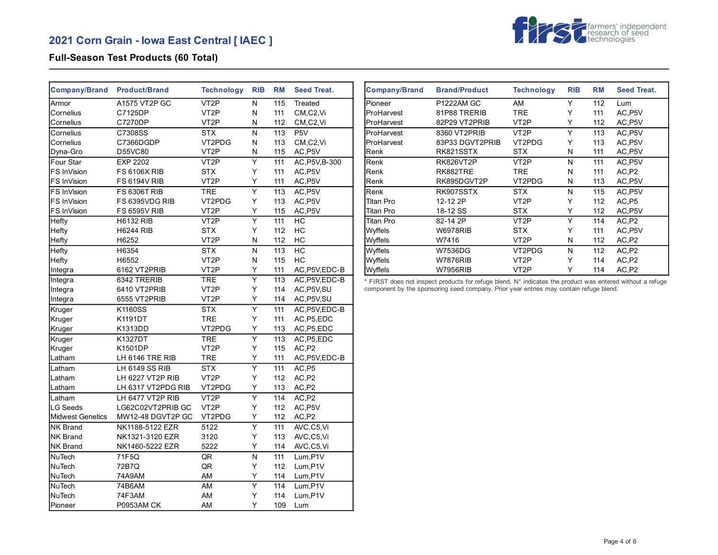

#### **Full-Season Test Products (60 Total)**

| <b>Company/Brand</b>    | <b>Product/Brand</b>  | <b>Technology</b> | <b>RIB</b>              | <b>RM</b> | <b>Seed Treat.</b> |
|-------------------------|-----------------------|-------------------|-------------------------|-----------|--------------------|
| Armor                   | A1575 VT2P GC         | VT <sub>2</sub> P | N                       | 115       | Treated            |
| Cornelius               | C7125DP               | VT <sub>2</sub> P | Ν                       | 111       | CM,C2,Vi           |
| Cornelius               | C7270DP               | VT <sub>2</sub> P | N                       | 112       | CM,C2,Vi           |
| Cornelius               | C7308SS               | <b>STX</b>        | N                       | 113       | P <sub>5</sub> V   |
| Cornelius               | C7366DGDP             | VT2PDG            | N                       | 113       | CM,C2,Vi           |
| Dyna-Gro                | D55VC80               | VT <sub>2</sub> P | N                       | 115       | AC, P5V            |
| Four Star               | <b>EXP 2202</b>       | VT <sub>2</sub> P | $\overline{\mathsf{Y}}$ | 111       | AC, P5V, B-300     |
| FS InVision             | <b>FS 6106X RIB</b>   | <b>STX</b>        | Y                       | 111       | AC, P5V            |
| FS InVision             | <b>FS 6194V RIB</b>   | VT <sub>2</sub> P | Υ                       | 111       | AC, P5V            |
| FS InVision             | <b>FS 6306T RIB</b>   | <b>TRE</b>        | $\overline{\mathsf{Y}}$ | 113       | AC, P5V            |
| FS InVision             | FS 6395VDG RIB        | VT2PDG            | Υ                       | 113       | AC, P5V            |
| FS InVision             | <b>FS 6595V RIB</b>   | VT <sub>2</sub> P | Y                       | 115       | AC, P5V            |
| Hefty                   | <b>H6132 RIB</b>      | VT <sub>2</sub> P | Υ                       | 111       | HC                 |
| Hefty                   | <b>H6244 RIB</b>      | <b>STX</b>        | Υ                       | 112       | НC                 |
| Hefty                   | H6252                 | VT <sub>2</sub> P | N                       | 112       | HC                 |
| Hefty                   | H6354                 | <b>STX</b>        | N                       | 113       | HC                 |
| Hefty                   | H6552                 | VT <sub>2</sub> P | N                       | 115       | HC                 |
| Integra                 | 6162 VT2PRIB          | VT <sub>2</sub> P | Y                       | 111       | AC, P5V, EDC-B     |
| Integra                 | 6342 TRERIB           | <b>TRE</b>        | Υ                       | 113       | AC, P5V, EDC-B     |
| Integra                 | 6410 VT2PRIB          | VT <sub>2</sub> P | Y                       | 114       | AC, P5V, SU        |
| Integra                 | 6555 VT2PRIB          | VT <sub>2</sub> P | Y                       | 114       | AC, P5V, SU        |
| Kruger                  | K1160SS               | <b>STX</b>        | Υ                       | 111       | AC, P5V, EDC-B     |
| Kruger                  | K1191DT               | <b>TRE</b>        | Y                       | 111       | AC, P5, EDC        |
| Kruger                  | K1313DD               | VT2PDG            | Υ                       | 113       | AC, P5, EDC        |
| Kruger                  | K1327DT               | <b>TRE</b>        | Ÿ                       | 113       | AC, P5, EDC        |
| Kruger                  | K1501DP               | VT <sub>2</sub> P | Υ                       | 115       | AC,P2              |
| Latham                  | LH 6146 TRE RIB       | TRE               | Y                       | 111       | AC, P5V, EDC-B     |
| Latham                  | <b>LH 6149 SS RIB</b> | <b>STX</b>        | $\overline{\mathsf{Y}}$ | 111       | AC,P5              |
| Latham                  | LH 6227 VT2P RIB      | VT <sub>2</sub> P | Υ                       | 112       | AC,P2              |
| Latham                  | LH 6317 VT2PDG RIB    | VT2PDG            | Y                       | 113       | AC,P2              |
| Latham                  | LH 6477 VT2P RIB      | VT <sub>2</sub> P | Y                       | 114       | AC,P2              |
| <b>LG Seeds</b>         | LG62C02VT2PRIB GC     | VT <sub>2</sub> P | Y                       | 112       | AC, P5V            |
| <b>Midwest Genetics</b> | MW12-48 DGVT2P GC     | VT2PDG            | Υ                       | 112       | AC, P2             |
| <b>NK Brand</b>         | NK1188-5122 EZR       | 5122              | Ÿ                       | 111       | AVC,C5,Vi          |
| <b>NK Brand</b>         | NK1321-3120 EZR       | 3120              | Y                       | 113       | AVC,C5,Vi          |
| <b>NK Brand</b>         | NK1460-5222 EZR       | 5222              | Y                       | 114       | AVC,C5,Vi          |
| <b>NuTech</b>           | 71F5Q                 | QR                | N                       | 111       | Lum, P1V           |
| NuTech                  | 72B7Q                 | QR                | Y                       | 112       | Lum, P1V           |
| NuTech                  | 74A9AM                | AM                | Υ                       | 114       | Lum, P1V           |
| NuTech                  | 74B6AM                | AM                | Y                       | 114       | Lum, P1V           |
| NuTech                  | 74F3AM                | AM                | Y                       | 114       | Lum, P1V           |
| Pioneer                 | <b>P0953AM CK</b>     | AM                | Υ                       | 109       | Lum                |

| <b>Company/Brand</b> | <b>Brand/Product</b> | <b>Technology</b> | <b>RIB</b> | <b>RM</b> | <b>Seed Treat.</b> |
|----------------------|----------------------|-------------------|------------|-----------|--------------------|
| Pioneer              | <b>P1222AM GC</b>    | AM                | Υ          | 112       | Lum                |
| ProHarvest           | 81P88 TRERIB         | <b>TRE</b>        | Υ          | 111       | AC, P5V            |
| ProHarvest           | 82P29 VT2PRIB        | VT <sub>2</sub> P | Υ          | 112       | AC, P5V            |
| ProHarvest           | 8360 VT2PRIB         | VT <sub>2</sub> P | Y          | 113       | AC, P5V            |
| ProHarvest           | 83P33 DGVT2PRIB      | VT2PDG            | Y          | 113       | AC, P5V            |
| Renk                 | RK821SSTX            | <b>STX</b>        | N          | 111       | AC, P5V            |
| Renk                 | <b>RK826VT2P</b>     | VT <sub>2</sub> P | N          | 111       | AC, P5V            |
| Renk                 | RK882TRE             | <b>TRE</b>        | N          | 111       | AC,P2              |
| Renk                 | RK895DGVT2P          | VT2PDG            | N          | 113       | AC, P5V            |
| Renk                 | RK907SSTX            | <b>STX</b>        | N          | 115       | AC, P5V            |
| Titan Pro            | 12-12 2P             | VT <sub>2</sub> P | Υ          | 112       | AC,P5              |
| Titan Pro            | 18-12 SS             | <b>STX</b>        | Υ          | 112       | AC, P5V            |
| Titan Pro            | 82-14 2P             | VT <sub>2</sub> P | Y          | 114       | AC,P2              |
| Wyffels              | <b>W6978RIB</b>      | <b>STX</b>        | Υ          | 111       | AC, P5V            |
| Wyffels              | W7416                | VT <sub>2</sub> P | N          | 112       | AC, P2             |
| Wyffels              | W7536DG              | VT2PDG            | N          | 112       | AC,P2              |
| Wyffels              | <b>W7876RIB</b>      | VT <sub>2</sub> P | Υ          | 114       | AC,P2              |
| Wyffels              | <b>W7956RIB</b>      | VT2P              | Y          | 114       | AC,P2              |

\* FIRST does not inspect products for refuge blend. N\* indicates the product was entered without a refuge component by the sponsoring seed company. Prior year entries may contain refuge blend.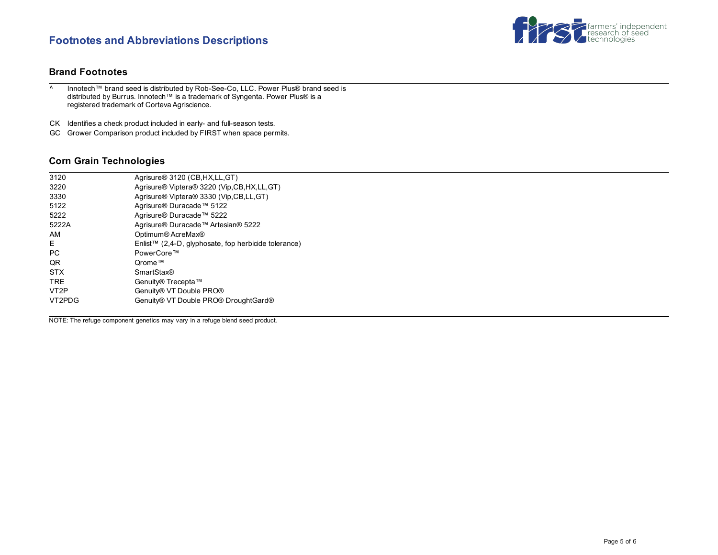# **Footnotes and Abbreviations Descriptions**



#### **Brand Footnotes**

^ Innotech™ brand seed is distributed by Rob-See-Co, LLC. Power Plus® brand seed is distributed by Burrus. Innotech™ is a trademark of Syngenta. Power Plus® is a registered trademark of Corteva Agriscience.

CK Identifies a check product included in early- and full-season tests.

GC Grower Comparison product included by FIRST when space permits.

#### **Corn Grain Technologies**

| 3120              | Agrisure <sup>®</sup> 3120 (CB, HX, LL, GT)          |
|-------------------|------------------------------------------------------|
| 3220              | Agrisure® Viptera® 3220 (Vip,CB,HX,LL,GT)            |
| 3330              | Agrisure® Viptera® 3330 (Vip,CB,LL,GT)               |
| 5122              | Agrisure® Duracade™ 5122                             |
| 5222              | Agrisure® Duracade™ 5222                             |
| 5222A             | Agrisure® Duracade™ Artesian® 5222                   |
| AM                | Optimum® AcreMax®                                    |
| E.                | Enlist™ (2,4-D, glyphosate, fop herbicide tolerance) |
| PC                | PowerCore™                                           |
| QR                | Orome™                                               |
| <b>STX</b>        | <b>SmartStax®</b>                                    |
| <b>TRE</b>        | Genuity® Trecepta™                                   |
| VT <sub>2</sub> P | Genuity® VT Double PRO®                              |
| VT2PDG            | Genuity® VT Double PRO® DroughtGard®                 |
|                   |                                                      |

NOTE: The refuge component genetics may vary in a refuge blend seed product.